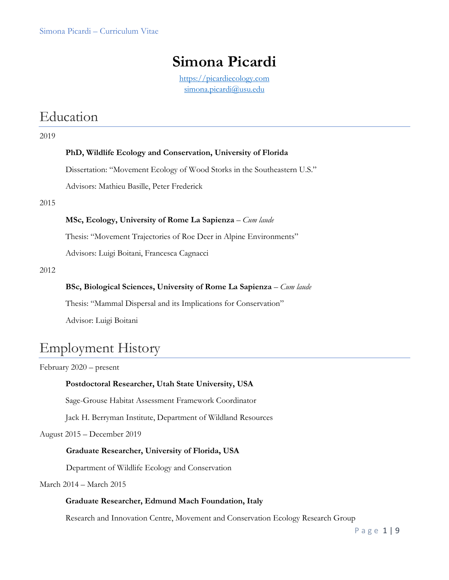## **Simona Picardi**

[https://picardiecology.com](https://picardiecology.com/) [simona.picardi@usu.edu](mailto:simona.picardi@usu.edu)

## Education

#### 2019

#### **PhD, Wildlife Ecology and Conservation, University of Florida**

Dissertation: "Movement Ecology of Wood Storks in the Southeastern U.S."

Advisors: Mathieu Basille, Peter Frederick

2015

#### **MSc, Ecology, University of Rome La Sapienza** – *Cum laude*

Thesis: "Movement Trajectories of Roe Deer in Alpine Environments"

Advisors: Luigi Boitani, Francesca Cagnacci

2012

#### **BSc, Biological Sciences, University of Rome La Sapienza** – *Cum laude*

Thesis: "Mammal Dispersal and its Implications for Conservation"

Advisor: Luigi Boitani

## Employment History

February 2020 – present

### **Postdoctoral Researcher, Utah State University, USA**

Sage-Grouse Habitat Assessment Framework Coordinator

Jack H. Berryman Institute, Department of Wildland Resources

August 2015 – December 2019

### **Graduate Researcher, University of Florida, USA**

Department of Wildlife Ecology and Conservation

#### March 2014 – March 2015

#### **Graduate Researcher, Edmund Mach Foundation, Italy**

Research and Innovation Centre, Movement and Conservation Ecology Research Group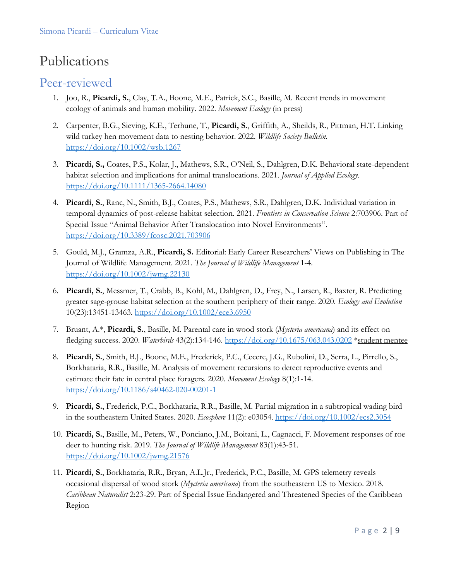## Publications

### Peer-reviewed

- 1. Joo, R., **Picardi, S.**, Clay, T.A., Boone, M.E., Patrick, S.C., Basille, M. Recent trends in movement ecology of animals and human mobility. 2022. *Movement Ecology* (in press)
- 2. Carpenter, B.G., Sieving, K.E., Terhune, T., **Picardi, S.**, Griffith, A., Sheilds, R., Pittman, H.T. Linking wild turkey hen movement data to nesting behavior. 2022. *Wildlife Society Bulletin.* <https://doi.org/10.1002/wsb.1267>
- 3. **Picardi, S.,** Coates, P.S., Kolar, J., Mathews, S.R., O'Neil, S., Dahlgren, D.K. Behavioral state-dependent habitat selection and implications for animal translocations. 2021. *Journal of Applied Ecology*. <https://doi.org/10.1111/1365-2664.14080>
- 4. **Picardi, S.**, Ranc, N., Smith, B.J., Coates, P.S., Mathews, S.R., Dahlgren, D.K. Individual variation in temporal dynamics of post-release habitat selection. 2021. *Frontiers in Conservation Science* 2:703906. Part of Special Issue "Animal Behavior After Translocation into Novel Environments". <https://doi.org/10.3389/fcosc.2021.703906>
- 5. Gould, M.J., Gramza, A.R., **Picardi, S.** Editorial: Early Career Researchers' Views on Publishing in The Journal of Wildlife Management. 2021. *The Journal of Wildlife Management* 1-4. <https://doi.org/10.1002/jwmg.22130>
- 6. **Picardi, S.**, Messmer, T., Crabb, B., Kohl, M., Dahlgren, D., Frey, N., Larsen, R., Baxter, R. Predicting greater sage-grouse habitat selection at the southern periphery of their range. 2020. *Ecology and Evolution* 10(23):13451-13463.<https://doi.org/10.1002/ece3.6950>
- 7. Bruant, A.\*, **Picardi, S.**, Basille, M. Parental care in wood stork (*Mycteria americana*) and its effect on fledging success. 2020. *Waterbirds* 43(2):134-146.<https://doi.org/10.1675/063.043.0202> \*student mentee
- 8. **Picardi, S.**, Smith, B.J., Boone, M.E., Frederick, P.C., Cecere, J.G., Rubolini, D., Serra, L., Pirrello, S., Borkhataria, R.R., Basille, M. Analysis of movement recursions to detect reproductive events and estimate their fate in central place foragers. 2020. *Movement Ecology* 8(1):1-14. <https://doi.org/10.1186/s40462-020-00201-1>
- 9. **Picardi, S.**, Frederick, P.C., Borkhataria, R.R., Basille, M. Partial migration in a subtropical wading bird in the southeastern United States. 2020. *Ecosphere* 11(2): e03054.<https://doi.org/10.1002/ecs2.3054>
- 10. **Picardi, S.**, Basille, M., Peters, W., Ponciano, J.M., Boitani, L., Cagnacci, F. Movement responses of roe deer to hunting risk. 2019. *The Journal of Wildlife Management* 83(1):43-51. <https://doi.org/10.1002/jwmg.21576>
- 11. **Picardi, S.**, Borkhataria, R.R., Bryan, A.L.Jr., Frederick, P.C., Basille, M. GPS telemetry reveals occasional dispersal of wood stork (*Mycteria americana*) from the southeastern US to Mexico. 2018. *Caribbean Naturalist* 2:23-29. Part of Special Issue Endangered and Threatened Species of the Caribbean Region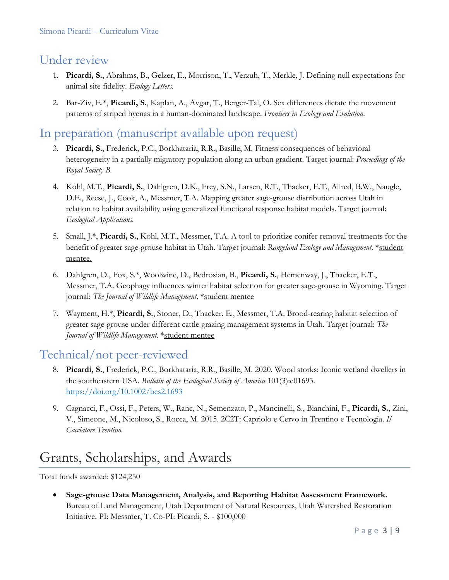## Under review

- 1. **Picardi, S.**, Abrahms, B., Gelzer, E., Morrison, T., Verzuh, T., Merkle, J. Defining null expectations for animal site fidelity. *Ecology Letters.*
- 2. Bar-Ziv, E.\*, **Picardi, S.**, Kaplan, A., Avgar, T., Berger-Tal, O. Sex differences dictate the movement patterns of striped hyenas in a human-dominated landscape. *Frontiers in Ecology and Evolution*.

## In preparation (manuscript available upon request)

- 3. **Picardi, S.**, Frederick, P.C., Borkhataria, R.R., Basille, M. Fitness consequences of behavioral heterogeneity in a partially migratory population along an urban gradient. Target journal: *Proceedings of the Royal Society B.*
- 4. Kohl, M.T., **Picardi, S.**, Dahlgren, D.K., Frey, S.N., Larsen, R.T., Thacker, E.T., Allred, B.W., Naugle, D.E., Reese, J., Cook, A., Messmer, T.A. Mapping greater sage-grouse distribution across Utah in relation to habitat availability using generalized functional response habitat models. Target journal: *Ecological Applications.*
- 5. Small, J.\*, **Picardi, S.**, Kohl, M.T., Messmer, T.A. A tool to prioritize conifer removal treatments for the benefit of greater sage-grouse habitat in Utah. Target journal: *Rangeland Ecology and Management*. \*student mentee.
- 6. Dahlgren, D., Fox, S.\*, Woolwine, D., Bedrosian, B., **Picardi, S.**, Hemenway, J., Thacker, E.T., Messmer, T.A. Geophagy influences winter habitat selection for greater sage-grouse in Wyoming. Target journal: *The Journal of Wildlife Management*. \*student mentee
- 7. Wayment, H.\*, **Picardi, S.**, Stoner, D., Thacker. E., Messmer, T.A. Brood-rearing habitat selection of greater sage-grouse under different cattle grazing management systems in Utah. Target journal: *The Journal of Wildlife Management*. \*student mentee

## Technical/not peer-reviewed

- 8. **Picardi, S.**, Frederick, P.C., Borkhataria, R.R., Basille, M. 2020. Wood storks: Iconic wetland dwellers in the southeastern USA. *Bulletin of the Ecological Society of America* 101(3):e01693. <https://doi.org/10.1002/bes2.1693>
- 9. Cagnacci, F., Ossi, F., Peters, W., Ranc, N., Semenzato, P., Mancinelli, S., Bianchini, F., **Picardi, S.**, Zini, V., Simeone, M., Nicoloso, S., Rocca, M. 2015. 2C2T: Capriolo e Cervo in Trentino e Tecnologia. *Il Cacciatore Trentino.*

# Grants, Scholarships, and Awards

Total funds awarded: \$124,250

• **Sage-grouse Data Management, Analysis, and Reporting Habitat Assessment Framework.**  Bureau of Land Management, Utah Department of Natural Resources, Utah Watershed Restoration Initiative. PI: Messmer, T. Co-PI: Picardi, S. - \$100,000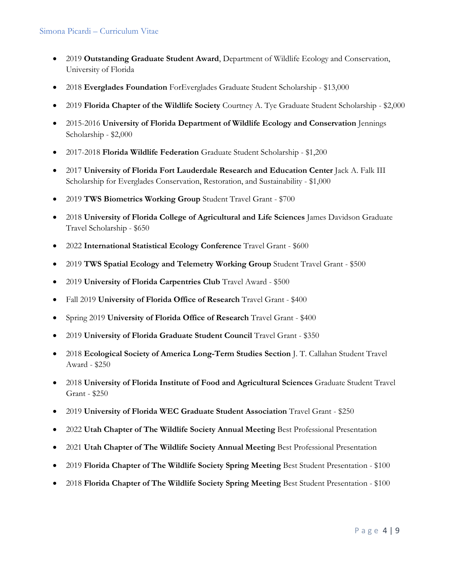- 2019 **Outstanding Graduate Student Award**, Department of Wildlife Ecology and Conservation, University of Florida
- 2018 **Everglades Foundation** ForEverglades Graduate Student Scholarship \$13,000
- 2019 **Florida Chapter of the Wildlife Society** Courtney A. Tye Graduate Student Scholarship \$2,000
- 2015-2016 **University of Florida Department of Wildlife Ecology and Conservation** Jennings Scholarship - \$2,000
- 2017-2018 **Florida Wildlife Federation** Graduate Student Scholarship \$1,200
- 2017 **University of Florida Fort Lauderdale Research and Education Center** Jack A. Falk III Scholarship for Everglades Conservation, Restoration, and Sustainability - \$1,000
- 2019 **TWS Biometrics Working Group** Student Travel Grant \$700
- 2018 **University of Florida College of Agricultural and Life Sciences** James Davidson Graduate Travel Scholarship - \$650
- 2022 **International Statistical Ecology Conference** Travel Grant \$600
- 2019 **TWS Spatial Ecology and Telemetry Working Group** Student Travel Grant \$500
- 2019 **University of Florida Carpentries Club** Travel Award \$500
- Fall 2019 **University of Florida Office of Research** Travel Grant \$400
- Spring 2019 **University of Florida Office of Research** Travel Grant \$400
- 2019 **University of Florida Graduate Student Council** Travel Grant \$350
- 2018 **Ecological Society of America Long-Term Studies Section** J. T. Callahan Student Travel Award - \$250
- 2018 **University of Florida Institute of Food and Agricultural Sciences** Graduate Student Travel Grant - \$250
- 2019 **University of Florida WEC Graduate Student Association** Travel Grant \$250
- 2022 **Utah Chapter of The Wildlife Society Annual Meeting** Best Professional Presentation
- 2021 **Utah Chapter of The Wildlife Society Annual Meeting** Best Professional Presentation
- 2019 **Florida Chapter of The Wildlife Society Spring Meeting** Best Student Presentation \$100
- 2018 **Florida Chapter of The Wildlife Society Spring Meeting** Best Student Presentation \$100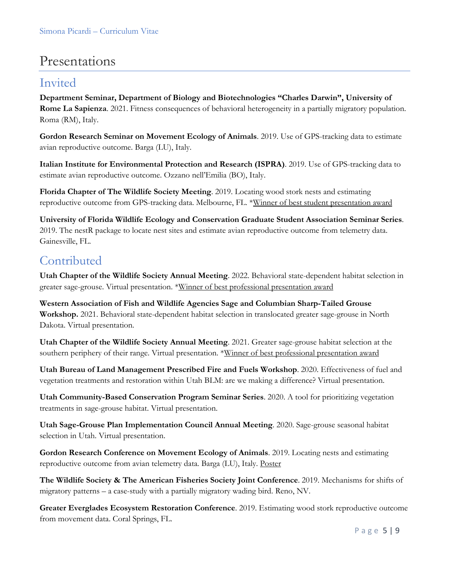## Presentations

## Invited

**Department Seminar, Department of Biology and Biotechnologies "Charles Darwin", University of Rome La Sapienza**. 2021. Fitness consequences of behavioral heterogeneity in a partially migratory population. Roma (RM), Italy.

**Gordon Research Seminar on Movement Ecology of Animals**. 2019. Use of GPS-tracking data to estimate avian reproductive outcome. Barga (LU), Italy.

**Italian Institute for Environmental Protection and Research (ISPRA)**. 2019. Use of GPS-tracking data to estimate avian reproductive outcome. Ozzano nell'Emilia (BO), Italy.

**Florida Chapter of The Wildlife Society Meeting**. 2019. Locating wood stork nests and estimating reproductive outcome from GPS-tracking data. Melbourne, FL. \*Winner of best student presentation award

**University of Florida Wildlife Ecology and Conservation Graduate Student Association Seminar Series**. 2019. The nestR package to locate nest sites and estimate avian reproductive outcome from telemetry data. Gainesville, FL.

## Contributed

**Utah Chapter of the Wildlife Society Annual Meeting**. 2022. Behavioral state-dependent habitat selection in greater sage-grouse. Virtual presentation. \*Winner of best professional presentation award

**Western Association of Fish and Wildlife Agencies Sage and Columbian Sharp-Tailed Grouse Workshop.** 2021. Behavioral state-dependent habitat selection in translocated greater sage-grouse in North Dakota. Virtual presentation.

**Utah Chapter of the Wildlife Society Annual Meeting**. 2021. Greater sage-grouse habitat selection at the southern periphery of their range. Virtual presentation. \*Winner of best professional presentation award

**Utah Bureau of Land Management Prescribed Fire and Fuels Workshop**. 2020. Effectiveness of fuel and vegetation treatments and restoration within Utah BLM: are we making a difference? Virtual presentation.

**Utah Community-Based Conservation Program Seminar Series**. 2020. A tool for prioritizing vegetation treatments in sage-grouse habitat. Virtual presentation.

**Utah Sage-Grouse Plan Implementation Council Annual Meeting**. 2020. Sage-grouse seasonal habitat selection in Utah. Virtual presentation.

**Gordon Research Conference on Movement Ecology of Animals**. 2019. Locating nests and estimating reproductive outcome from avian telemetry data. Barga (LU), Italy. Poster

**The Wildlife Society & The American Fisheries Society Joint Conference**. 2019. Mechanisms for shifts of migratory patterns – a case-study with a partially migratory wading bird. Reno, NV.

**Greater Everglades Ecosystem Restoration Conference**. 2019. Estimating wood stork reproductive outcome from movement data. Coral Springs, FL.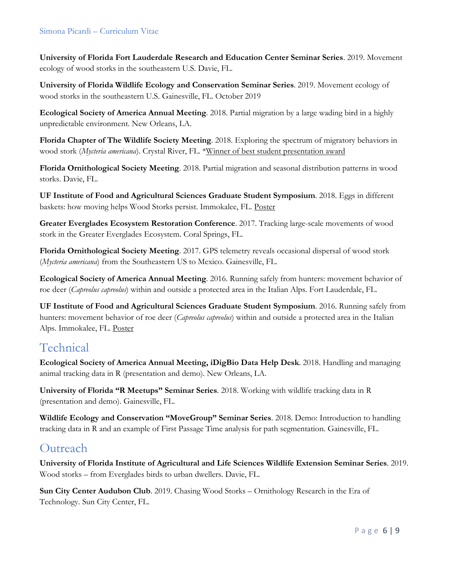### Simona Picardi – Curriculum Vitae

**University of Florida Fort Lauderdale Research and Education Center Seminar Series**. 2019. Movement ecology of wood storks in the southeastern U.S. Davie, FL.

**University of Florida Wildlife Ecology and Conservation Seminar Series**. 2019. Movement ecology of wood storks in the southeastern U.S. Gainesville, FL. October 2019

**Ecological Society of America Annual Meeting**. 2018. Partial migration by a large wading bird in a highly unpredictable environment. New Orleans, LA.

**Florida Chapter of The Wildlife Society Meeting**. 2018. Exploring the spectrum of migratory behaviors in wood stork (*Mycteria americana*). Crystal River, FL. \*Winner of best student presentation award

**Florida Ornithological Society Meeting**. 2018. Partial migration and seasonal distribution patterns in wood storks. Davie, FL.

**UF Institute of Food and Agricultural Sciences Graduate Student Symposium**. 2018. Eggs in different baskets: how moving helps Wood Storks persist. Immokalee, FL. Poster

**Greater Everglades Ecosystem Restoration Conference**. 2017. Tracking large-scale movements of wood stork in the Greater Everglades Ecosystem. Coral Springs, FL.

**Florida Ornithological Society Meeting**. 2017. GPS telemetry reveals occasional dispersal of wood stork (*Mycteria americana*) from the Southeastern US to Mexico. Gainesville, FL.

**Ecological Society of America Annual Meeting**. 2016. Running safely from hunters: movement behavior of roe deer (*Capreolus capreolus*) within and outside a protected area in the Italian Alps. Fort Lauderdale, FL.

**UF Institute of Food and Agricultural Sciences Graduate Student Symposium**. 2016. Running safely from hunters: movement behavior of roe deer (*Capreolus capreolus*) within and outside a protected area in the Italian Alps. Immokalee, FL. Poster

## Technical

**Ecological Society of America Annual Meeting, iDigBio Data Help Desk**. 2018. Handling and managing animal tracking data in R (presentation and demo). New Orleans, LA.

**University of Florida "R Meetups" Seminar Series**. 2018. Working with wildlife tracking data in R (presentation and demo). Gainesville, FL.

**Wildlife Ecology and Conservation "MoveGroup" Seminar Series**. 2018. Demo: Introduction to handling tracking data in R and an example of First Passage Time analysis for path segmentation. Gainesville, FL.

### **Outreach**

**University of Florida Institute of Agricultural and Life Sciences Wildlife Extension Seminar Series**. 2019. Wood storks – from Everglades birds to urban dwellers. Davie, FL.

**Sun City Center Audubon Club**. 2019. Chasing Wood Storks – Ornithology Research in the Era of Technology. Sun City Center, FL.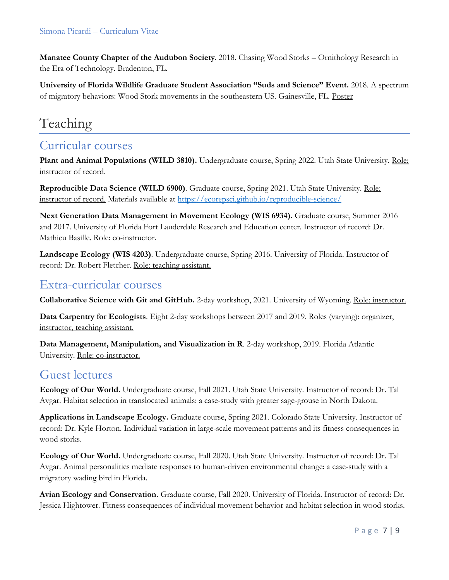**Manatee County Chapter of the Audubon Society**. 2018. Chasing Wood Storks – Ornithology Research in the Era of Technology. Bradenton, FL.

**University of Florida Wildlife Graduate Student Association "Suds and Science" Event.** 2018. A spectrum of migratory behaviors: Wood Stork movements in the southeastern US. Gainesville, FL. Poster

# Teaching

### Curricular courses

**Plant and Animal Populations (WILD 3810).** Undergraduate course, Spring 2022. Utah State University. Role: instructor of record.

**Reproducible Data Science (WILD 6900)**. Graduate course, Spring 2021. Utah State University. Role: instructor of record. Materials available at<https://ecorepsci.github.io/reproducible-science/>

**Next Generation Data Management in Movement Ecology (WIS 6934).** Graduate course, Summer 2016 and 2017. University of Florida Fort Lauderdale Research and Education center. Instructor of record: Dr. Mathieu Basille. Role: co-instructor.

**Landscape Ecology (WIS 4203)**. Undergraduate course, Spring 2016. University of Florida. Instructor of record: Dr. Robert Fletcher. Role: teaching assistant.

### Extra-curricular courses

**Collaborative Science with Git and GitHub.** 2-day workshop, 2021. University of Wyoming. Role: instructor.

**Data Carpentry for Ecologists**. Eight 2-day workshops between 2017 and 2019. Roles (varying): organizer, instructor, teaching assistant.

**Data Management, Manipulation, and Visualization in R**. 2-day workshop, 2019. Florida Atlantic University. Role: co-instructor.

## Guest lectures

**Ecology of Our World.** Undergraduate course, Fall 2021. Utah State University. Instructor of record: Dr. Tal Avgar. Habitat selection in translocated animals: a case-study with greater sage-grouse in North Dakota.

**Applications in Landscape Ecology.** Graduate course, Spring 2021. Colorado State University. Instructor of record: Dr. Kyle Horton. Individual variation in large-scale movement patterns and its fitness consequences in wood storks.

**Ecology of Our World.** Undergraduate course, Fall 2020. Utah State University. Instructor of record: Dr. Tal Avgar. Animal personalities mediate responses to human-driven environmental change: a case-study with a migratory wading bird in Florida.

**Avian Ecology and Conservation.** Graduate course, Fall 2020. University of Florida. Instructor of record: Dr. Jessica Hightower. Fitness consequences of individual movement behavior and habitat selection in wood storks.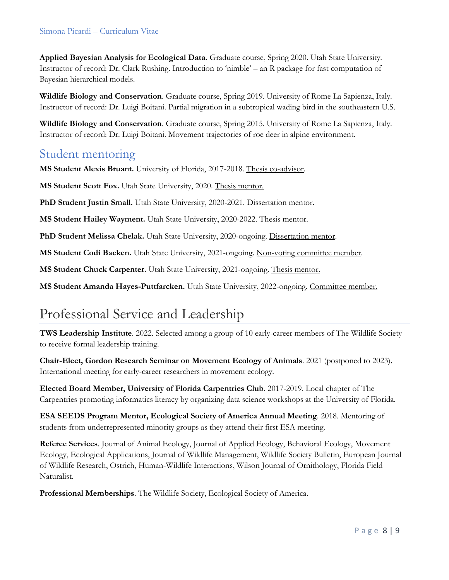### Simona Picardi – Curriculum Vitae

**Applied Bayesian Analysis for Ecological Data.** Graduate course, Spring 2020. Utah State University. Instructor of record: Dr. Clark Rushing. Introduction to 'nimble' – an R package for fast computation of Bayesian hierarchical models.

**Wildlife Biology and Conservation**. Graduate course, Spring 2019. University of Rome La Sapienza, Italy. Instructor of record: Dr. Luigi Boitani. Partial migration in a subtropical wading bird in the southeastern U.S.

**Wildlife Biology and Conservation**. Graduate course, Spring 2015. University of Rome La Sapienza, Italy. Instructor of record: Dr. Luigi Boitani. Movement trajectories of roe deer in alpine environment.

### Student mentoring

**MS Student Alexis Bruant.** University of Florida, 2017-2018. Thesis co-advisor.

**MS Student Scott Fox.** Utah State University, 2020. Thesis mentor.

PhD Student Justin Small. Utah State University, 2020-2021. Dissertation mentor.

**MS Student Hailey Wayment.** Utah State University, 2020-2022. Thesis mentor.

**PhD Student Melissa Chelak.** Utah State University, 2020-ongoing. Dissertation mentor.

**MS Student Codi Backen.** Utah State University, 2021-ongoing. Non-voting committee member.

**MS Student Chuck Carpenter.** Utah State University, 2021-ongoing. Thesis mentor.

**MS Student Amanda Hayes-Puttfarcken.** Utah State University, 2022-ongoing. Committee member.

# Professional Service and Leadership

**TWS Leadership Institute**. 2022. Selected among a group of 10 early-career members of The Wildlife Society to receive formal leadership training.

**Chair-Elect, Gordon Research Seminar on Movement Ecology of Animals**. 2021 (postponed to 2023). International meeting for early-career researchers in movement ecology.

**Elected Board Member, University of Florida Carpentries Club**. 2017-2019. Local chapter of The Carpentries promoting informatics literacy by organizing data science workshops at the University of Florida.

**ESA SEEDS Program Mentor, Ecological Society of America Annual Meeting**. 2018. Mentoring of students from underrepresented minority groups as they attend their first ESA meeting.

**Referee Services**. Journal of Animal Ecology, Journal of Applied Ecology, Behavioral Ecology, Movement Ecology, Ecological Applications, Journal of Wildlife Management, Wildlife Society Bulletin, European Journal of Wildlife Research, Ostrich, Human-Wildlife Interactions, Wilson Journal of Ornithology, Florida Field Naturalist.

**Professional Memberships**. The Wildlife Society, Ecological Society of America.